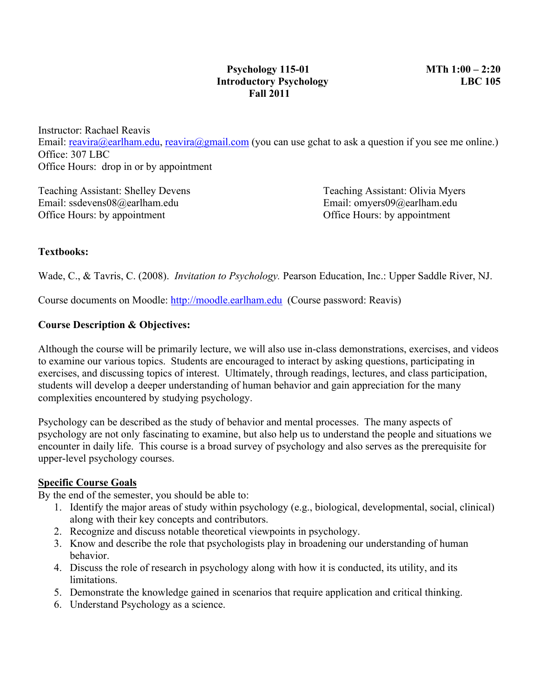Instructor: Rachael Reavis Email: reavira@earlham.edu, reavira@gmail.com (you can use gchat to ask a question if you see me online.) Office: 307 LBC Office Hours: drop in or by appointment

Teaching Assistant: Shelley Devens Teaching Assistant: Olivia Myers Email: ssdevens08@earlham.edu Email: omyers09@earlham.edu Office Hours: by appointment Office Hours: by appointment

## **Textbooks:**

Wade, C., & Tavris, C. (2008). *Invitation to Psychology.* Pearson Education, Inc.: Upper Saddle River, NJ.

Course documents on Moodle: http://moodle.earlham.edu (Course password: Reavis)

## **Course Description & Objectives:**

Although the course will be primarily lecture, we will also use in-class demonstrations, exercises, and videos to examine our various topics. Students are encouraged to interact by asking questions, participating in exercises, and discussing topics of interest. Ultimately, through readings, lectures, and class participation, students will develop a deeper understanding of human behavior and gain appreciation for the many complexities encountered by studying psychology.

Psychology can be described as the study of behavior and mental processes. The many aspects of psychology are not only fascinating to examine, but also help us to understand the people and situations we encounter in daily life. This course is a broad survey of psychology and also serves as the prerequisite for upper-level psychology courses.

#### **Specific Course Goals**

By the end of the semester, you should be able to:

- 1. Identify the major areas of study within psychology (e.g., biological, developmental, social, clinical) along with their key concepts and contributors.
- 2. Recognize and discuss notable theoretical viewpoints in psychology.
- 3. Know and describe the role that psychologists play in broadening our understanding of human behavior.
- 4. Discuss the role of research in psychology along with how it is conducted, its utility, and its limitations.
- 5. Demonstrate the knowledge gained in scenarios that require application and critical thinking.
- 6. Understand Psychology as a science.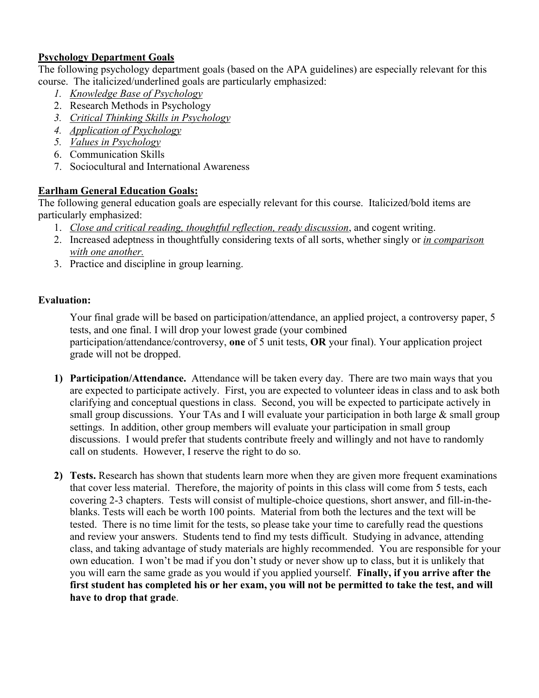# **Psychology Department Goals**

The following psychology department goals (based on the APA guidelines) are especially relevant for this course. The italicized/underlined goals are particularly emphasized:

- *1. Knowledge Base of Psychology*
- 2. Research Methods in Psychology
- *3. Critical Thinking Skills in Psychology*
- *4. Application of Psychology*
- *5. Values in Psychology*
- 6. Communication Skills
- 7. Sociocultural and International Awareness

## **Earlham General Education Goals:**

The following general education goals are especially relevant for this course. Italicized/bold items are particularly emphasized:

- 1. *Close and critical reading, thoughtful reflection, ready discussion*, and cogent writing.
- 2. Increased adeptness in thoughtfully considering texts of all sorts, whether singly or *in comparison with one another.*
- 3. Practice and discipline in group learning.

## **Evaluation:**

Your final grade will be based on participation/attendance, an applied project, a controversy paper, 5 tests, and one final. I will drop your lowest grade (your combined participation/attendance/controversy, **one** of 5 unit tests, **OR** your final). Your application project grade will not be dropped.

- **1) Participation/Attendance.** Attendance will be taken every day. There are two main ways that you are expected to participate actively. First, you are expected to volunteer ideas in class and to ask both clarifying and conceptual questions in class. Second, you will be expected to participate actively in small group discussions. Your TAs and I will evaluate your participation in both large & small group settings. In addition, other group members will evaluate your participation in small group discussions. I would prefer that students contribute freely and willingly and not have to randomly call on students. However, I reserve the right to do so.
- **2) Tests.** Research has shown that students learn more when they are given more frequent examinations that cover less material. Therefore, the majority of points in this class will come from 5 tests, each covering 2-3 chapters. Tests will consist of multiple-choice questions, short answer, and fill-in-theblanks. Tests will each be worth 100 points. Material from both the lectures and the text will be tested. There is no time limit for the tests, so please take your time to carefully read the questions and review your answers. Students tend to find my tests difficult. Studying in advance, attending class, and taking advantage of study materials are highly recommended. You are responsible for your own education. I won't be mad if you don't study or never show up to class, but it is unlikely that you will earn the same grade as you would if you applied yourself. **Finally, if you arrive after the first student has completed his or her exam, you will not be permitted to take the test, and will have to drop that grade**.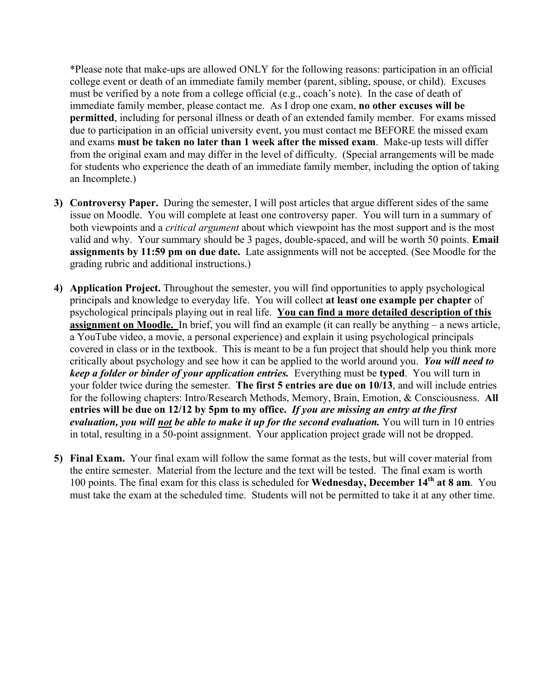\*Please note that make-ups are allowed ONLY for the following reasons: participation in an official college event or death of an immediate family member (parent, sibling, spouse, or child). Excuses must be verified by a note from a college official (e.g., coach's note). In the case of death of immediate family member, please contact me. As I drop one exam, **no other excuses will be permitted**, including for personal illness or death of an extended family member. For exams missed due to participation in an official university event, you must contact me BEFORE the missed exam and exams **must be taken no later than 1 week after the missed exam**. Make-up tests will differ from the original exam and may differ in the level of difficulty. (Special arrangements will be made for students who experience the death of an immediate family member, including the option of taking an Incomplete.)

- **3) Controversy Paper.** During the semester, I will post articles that argue different sides of the same issue on Moodle. You will complete at least one controversy paper. You will turn in a summary of both viewpoints and a *critical argument* about which viewpoint has the most support and is the most valid and why. Your summary should be 3 pages, double-spaced, and will be worth 50 points. **Email assignments by 11:59 pm on due date.** Late assignments will not be accepted. (See Moodle for the grading rubric and additional instructions.)
- **4) Application Project.** Throughout the semester, you will find opportunities to apply psychological principals and knowledge to everyday life. You will collect **at least one example per chapter** of psychological principals playing out in real life. **You can find a more detailed description of this assignment on Moodle.** In brief, you will find an example (it can really be anything – a news article, a YouTube video, a movie, a personal experience) and explain it using psychological principals covered in class or in the textbook. This is meant to be a fun project that should help you think more critically about psychology and see how it can be applied to the world around you. *You will need to keep a folder or binder of your application entries.* Everything must be **typed**. You will turn in your folder twice during the semester. **The first 5 entries are due on 10/13**, and will include entries for the following chapters: Intro/Research Methods, Memory, Brain, Emotion, & Consciousness. **All entries will be due on 12/12 by 5pm to my office.** *If you are missing an entry at the first evaluation, you will not be able to make it up for the second evaluation.* You will turn in 10 entries in total, resulting in a 50-point assignment. Your application project grade will not be dropped.
- **5) Final Exam.** Your final exam will follow the same format as the tests, but will cover material from the entire semester. Material from the lecture and the text will be tested. The final exam is worth 100 points. The final exam for this class is scheduled for **Wednesday, December 14th at 8 am**. You must take the exam at the scheduled time.Students will not be permitted to take it at any other time.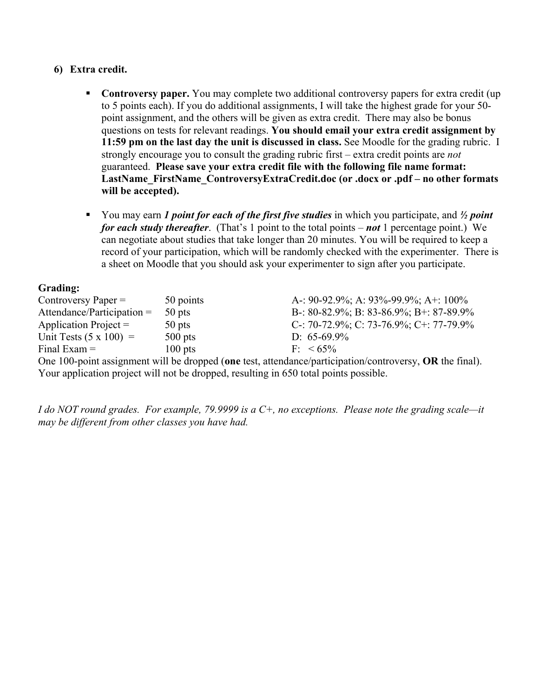## **6) Extra credit.**

- **Controversy paper.** You may complete two additional controversy papers for extra credit (up to 5 points each). If you do additional assignments, I will take the highest grade for your 50 point assignment, and the others will be given as extra credit. There may also be bonus questions on tests for relevant readings. **You should email your extra credit assignment by 11:59 pm on the last day the unit is discussed in class.** See Moodle for the grading rubric. I strongly encourage you to consult the grading rubric first – extra credit points are *not* guaranteed. **Please save your extra credit file with the following file name format:**  LastName\_FirstName\_ControversyExtraCredit.doc (or .docx or .pdf – no other formats **will be accepted).**
- You may earn *1 point for each of the first five studies* in which you participate, and ½ *point for each study thereafter*. (That's 1 point to the total points – *not* 1 percentage point.) We can negotiate about studies that take longer than 20 minutes. You will be required to keep a record of your participation, which will be randomly checked with the experimenter. There is a sheet on Moodle that you should ask your experimenter to sign after you participate.

## **Grading:**

| Controversy Paper $=$         | 50 points | A-: 90-92.9%; A: 93%-99.9%; A+: 100%                                                                       |
|-------------------------------|-----------|------------------------------------------------------------------------------------------------------------|
| $\text{Attention} =$          | 50 pts    | B-: 80-82.9%; B: 83-86.9%; B+: 87-89.9%                                                                    |
| Application Project $=$       | 50 pts    | C-: 70-72.9%; C: 73-76.9%; C+: 77-79.9%                                                                    |
| Unit Tests $(5 \times 100)$ = | $500$ pts | D: $65-69.9\%$                                                                                             |
| Final Exam $=$                | $100$ pts | $F - 65\%$                                                                                                 |
|                               |           | $Q_{n+1}$ 100 m interest number 11 km discussed (see that attendance beneficially beneficially $Q_{n+1}$ ) |

One 100-point assignment will be dropped (**one** test, attendance/participation/controversy, **OR** the final). Your application project will not be dropped, resulting in 650 total points possible.

*I do NOT round grades. For example, 79.9999 is a C+, no exceptions. Please note the grading scale—it may be different from other classes you have had.*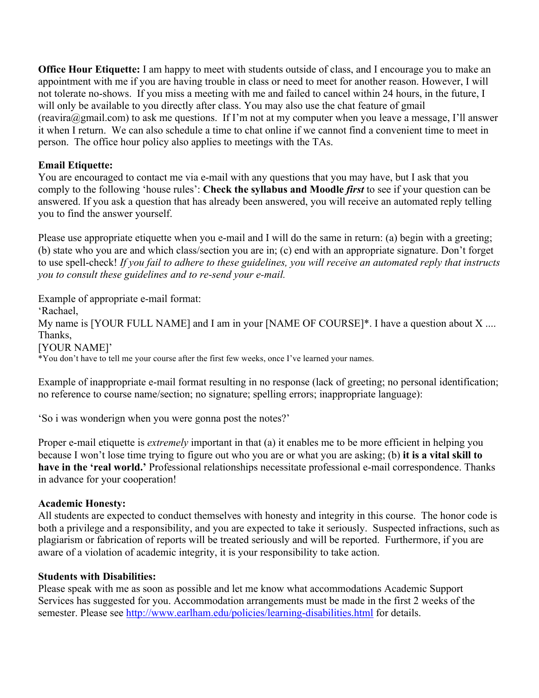**Office Hour Etiquette:** I am happy to meet with students outside of class, and I encourage you to make an appointment with me if you are having trouble in class or need to meet for another reason. However, I will not tolerate no-shows. If you miss a meeting with me and failed to cancel within 24 hours, in the future, I will only be available to you directly after class. You may also use the chat feature of gmail  $(reaving@gmail.com)$  to ask me questions. If I'm not at my computer when you leave a message, I'll answer it when I return. We can also schedule a time to chat online if we cannot find a convenient time to meet in person. The office hour policy also applies to meetings with the TAs.

## **Email Etiquette:**

You are encouraged to contact me via e-mail with any questions that you may have, but I ask that you comply to the following 'house rules': **Check the syllabus and Moodle** *first* to see if your question can be answered. If you ask a question that has already been answered, you will receive an automated reply telling you to find the answer yourself.

Please use appropriate etiquette when you e-mail and I will do the same in return: (a) begin with a greeting; (b) state who you are and which class/section you are in; (c) end with an appropriate signature. Don't forget to use spell-check! *If you fail to adhere to these guidelines, you will receive an automated reply that instructs you to consult these guidelines and to re-send your e-mail.*

Example of appropriate e-mail format: 'Rachael, My name is [YOUR FULL NAME] and I am in your [NAME OF COURSE]\*. I have a question about X .... Thanks, [YOUR NAME]' \*You don't have to tell me your course after the first few weeks, once I've learned your names.

Example of inappropriate e-mail format resulting in no response (lack of greeting; no personal identification; no reference to course name/section; no signature; spelling errors; inappropriate language):

'So i was wonderign when you were gonna post the notes?'

Proper e-mail etiquette is *extremely* important in that (a) it enables me to be more efficient in helping you because I won't lose time trying to figure out who you are or what you are asking; (b) **it is a vital skill to have in the 'real world.'** Professional relationships necessitate professional e-mail correspondence. Thanks in advance for your cooperation!

## **Academic Honesty:**

All students are expected to conduct themselves with honesty and integrity in this course. The honor code is both a privilege and a responsibility, and you are expected to take it seriously. Suspected infractions, such as plagiarism or fabrication of reports will be treated seriously and will be reported. Furthermore, if you are aware of a violation of academic integrity, it is your responsibility to take action.

#### **Students with Disabilities:**

Please speak with me as soon as possible and let me know what accommodations Academic Support Services has suggested for you. Accommodation arrangements must be made in the first 2 weeks of the semester. Please see http://www.earlham.edu/policies/learning-disabilities.html for details.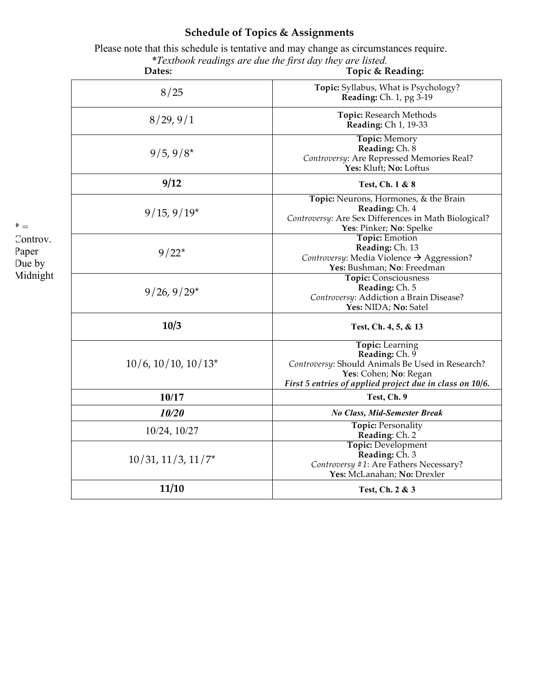# **Schedule of Topics & Assignments**

 Please note that this schedule is tentative and may change as circumstances require. *\*Textbook readings are due the first day they are listed.*

|                                                   | Dates:                      | Topic & Reading:                                                                                                                                                                  |
|---------------------------------------------------|-----------------------------|-----------------------------------------------------------------------------------------------------------------------------------------------------------------------------------|
| $^* =$<br>Controv.<br>Paper<br>Due by<br>Midnight | 8/25                        | Topic: Syllabus, What is Psychology?<br>Reading: Ch. 1, pg 3-19                                                                                                                   |
|                                                   | 8/29, 9/1                   | Topic: Research Methods<br>Reading: Ch 1, 19-33                                                                                                                                   |
|                                                   | $9/5, 9/8*$                 | <b>Topic: Memory</b><br>Reading: Ch. 8<br>Controversy: Are Repressed Memories Real?<br>Yes: Kluft; No: Loftus                                                                     |
|                                                   | 9/12                        | Test, Ch. 1 & 8                                                                                                                                                                   |
|                                                   | $9/15, 9/19*$               | Topic: Neurons, Hormones, & the Brain<br>Reading: Ch. 4<br>Controversy: Are Sex Differences in Math Biological?<br>Yes: Pinker; No: Spelke                                        |
|                                                   | $9/22*$                     | <b>Topic: Emotion</b><br>Reading: Ch. 13<br>Controversy: Media Violence → Aggression?<br>Yes: Bushman; No: Freedman                                                               |
|                                                   | $9/26, 9/29*$               | <b>Topic: Consciousness</b><br>Reading: Ch. 5<br>Controversy: Addiction a Brain Disease?<br>Yes: NIDA; No: Satel                                                                  |
|                                                   | 10/3                        | Test, Ch. 4, 5, & 13                                                                                                                                                              |
|                                                   | $10/6$ , $10/10$ , $10/13*$ | <b>Topic:</b> Learning<br>Reading: Ch. 9<br>Controversy: Should Animals Be Used in Research?<br>Yes: Cohen; No: Regan<br>First 5 entries of applied project due in class on 10/6. |
|                                                   | 10/17                       | Test, Ch. 9                                                                                                                                                                       |
|                                                   | 10/20                       | <b>No Class, Mid-Semester Break</b>                                                                                                                                               |
|                                                   | $10/24$ , $10/27$           | <b>Topic: Personality</b><br>Reading: Ch. 2                                                                                                                                       |
|                                                   | $10/31$ , $11/3$ , $11/7*$  | <b>Topic: Development</b><br>Reading: Ch. 3<br>Controversy #1: Are Fathers Necessary?<br>Yes: McLanahan; No: Drexler                                                              |
|                                                   | 11/10                       | Test, Ch. 2 & 3                                                                                                                                                                   |
|                                                   |                             |                                                                                                                                                                                   |

 $^\ast$   $=$ Controv. Paper